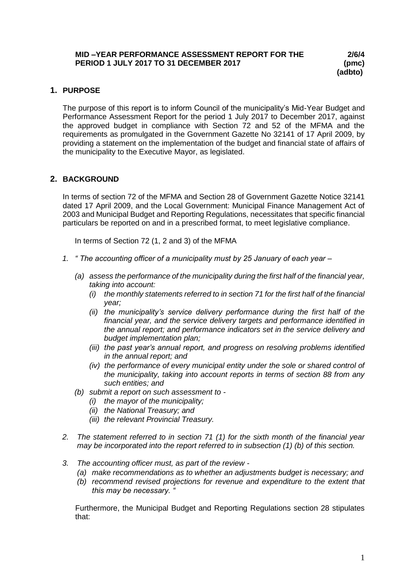## **1. PURPOSE**

The purpose of this report is to inform Council of the municipality's Mid-Year Budget and Performance Assessment Report for the period 1 July 2017 to December 2017, against the approved budget in compliance with Section 72 and 52 of the MFMA and the requirements as promulgated in the Government Gazette No 32141 of 17 April 2009, by providing a statement on the implementation of the budget and financial state of affairs of the municipality to the Executive Mayor, as legislated.

## **2. BACKGROUND**

In terms of section 72 of the MFMA and Section 28 of Government Gazette Notice 32141 dated 17 April 2009, and the Local Government: Municipal Finance Management Act of 2003 and Municipal Budget and Reporting Regulations, necessitates that specific financial particulars be reported on and in a prescribed format, to meet legislative compliance.

In terms of Section 72 (1, 2 and 3) of the MFMA

- *1. " The accounting officer of a municipality must by 25 January of each year –*
	- *(a) assess the performance of the municipality during the first half of the financial year, taking into account:* 
		- *(i) the monthly statements referred to in section 71 for the first half of the financial year;*
		- *(ii) the municipality's service delivery performance during the first half of the financial year, and the service delivery targets and performance identified in the annual report; and performance indicators set in the service delivery and budget implementation plan;*
		- *(iii) the past year's annual report, and progress on resolving problems identified in the annual report; and*
		- *(iv) the performance of every municipal entity under the sole or shared control of the municipality, taking into account reports in terms of section 88 from any such entities; and*
	- *(b) submit a report on such assessment to -*
		- *(i) the mayor of the municipality;*
		- *(ii) the National Treasury; and*
		- *(iii) the relevant Provincial Treasury.*
- *2. The statement referred to in section 71 (1) for the sixth month of the financial year may be incorporated into the report referred to in subsection (1) (b) of this section.*
- *3. The accounting officer must, as part of the review -*
	- *(a) make recommendations as to whether an adjustments budget is necessary; and*
	- *(b) recommend revised projections for revenue and expenditure to the extent that this may be necessary. "*

Furthermore, the Municipal Budget and Reporting Regulations section 28 stipulates that: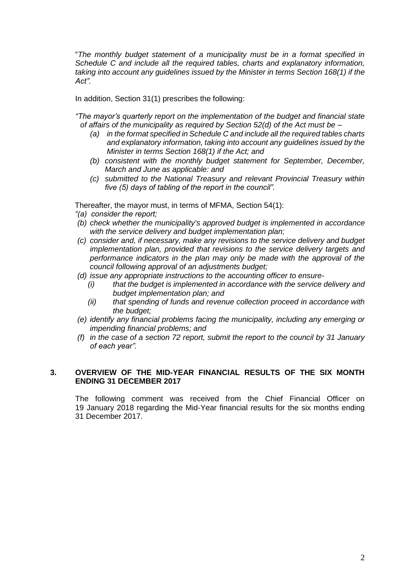"*The monthly budget statement of a municipality must be in a format specified in Schedule C and include all the required tables, charts and explanatory information, taking into account any guidelines issued by the Minister in terms Section 168(1) if the Act".*

In addition, Section 31(1) prescribes the following:

*"The mayor's quarterly report on the implementation of the budget and financial state of affairs of the municipality as required by Section 52(d) of the Act must be –*

- *(a) in the format specified in Schedule C and include all the required tables charts and explanatory information, taking into account any guidelines issued by the Minister in terms Section 168(1) if the Act; and*
- *(b) consistent with the monthly budget statement for September, December, March and June as applicable: and*
- *(c) submitted to the National Treasury and relevant Provincial Treasury within five (5) days of tabling of the report in the council".*

Thereafter, the mayor must, in terms of MFMA, Section 54(1):

- *"(a) consider the report;*
- *(b) check whether the municipality's approved budget is implemented in accordance with the service delivery and budget implementation plan;*
- *(c) consider and, if necessary, make any revisions to the service delivery and budget implementation plan, provided that revisions to the service delivery targets and performance indicators in the plan may only be made with the approval of the council following approval of an adjustments budget;*
- *(d) issue any appropriate instructions to the accounting officer to ensure-*
	- *(i) that the budget is implemented in accordance with the service delivery and budget implementation plan; and*
	- *(ii) that spending of funds and revenue collection proceed in accordance with the budget;*
- *(e) identify any financial problems facing the municipality, including any emerging or impending financial problems; and*
- *(f) in the case of a section 72 report, submit the report to the council by 31 January of each year".*

#### **3. OVERVIEW OF THE MID-YEAR FINANCIAL RESULTS OF THE SIX MONTH ENDING 31 DECEMBER 2017**

The following comment was received from the Chief Financial Officer on 19 January 2018 regarding the Mid-Year financial results for the six months ending 31 December 2017.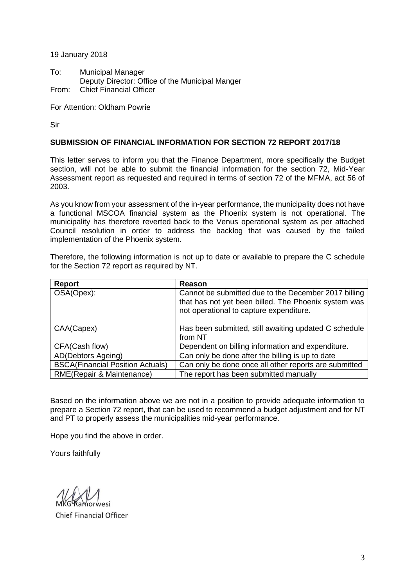19 January 2018

To: Municipal Manager Deputy Director: Office of the Municipal Manger From: Chief Financial Officer

For Attention: Oldham Powrie

Sir

#### **SUBMISSION OF FINANCIAL INFORMATION FOR SECTION 72 REPORT 2017/18**

This letter serves to inform you that the Finance Department, more specifically the Budget section, will not be able to submit the financial information for the section 72, Mid-Year Assessment report as requested and required in terms of section 72 of the MFMA, act 56 of 2003.

As you know from your assessment of the in-year performance, the municipality does not have a functional MSCOA financial system as the Phoenix system is not operational. The municipality has therefore reverted back to the Venus operational system as per attached Council resolution in order to address the backlog that was caused by the failed implementation of the Phoenix system.

Therefore, the following information is not up to date or available to prepare the C schedule for the Section 72 report as required by NT.

| Report                                  | Reason                                                                                                                                                  |
|-----------------------------------------|---------------------------------------------------------------------------------------------------------------------------------------------------------|
| OSA(Opex):                              | Cannot be submitted due to the December 2017 billing<br>that has not yet been billed. The Phoenix system was<br>not operational to capture expenditure. |
| CAA(Capex)                              | Has been submitted, still awaiting updated C schedule<br>from NT                                                                                        |
| CFA(Cash flow)                          | Dependent on billing information and expenditure.                                                                                                       |
| AD(Debtors Ageing)                      | Can only be done after the billing is up to date                                                                                                        |
| <b>BSCA(Financial Position Actuals)</b> | Can only be done once all other reports are submitted                                                                                                   |
| RME(Repair & Maintenance)               | The report has been submitted manually                                                                                                                  |

Based on the information above we are not in a position to provide adequate information to prepare a Section 72 report, that can be used to recommend a budget adjustment and for NT and PT to properly assess the municipalities mid-year performance.

Hope you find the above in order.

Yours faithfully

**Orwesi** 

**Chief Financial Officer**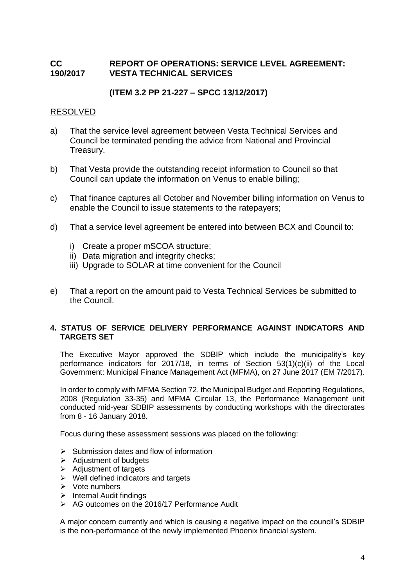# **CC REPORT OF OPERATIONS: SERVICE LEVEL AGREEMENT: 190/2017 VESTA TECHNICAL SERVICES**

# **(ITEM 3.2 PP 21-227 – SPCC 13/12/2017)**

## RESOLVED

- a) That the service level agreement between Vesta Technical Services and Council be terminated pending the advice from National and Provincial Treasury.
- b) That Vesta provide the outstanding receipt information to Council so that Council can update the information on Venus to enable billing;
- c) That finance captures all October and November billing information on Venus to enable the Council to issue statements to the ratepayers;
- d) That a service level agreement be entered into between BCX and Council to:
	- i) Create a proper mSCOA structure;
	- ii) Data migration and integrity checks;
	- iii) Upgrade to SOLAR at time convenient for the Council
- e) That a report on the amount paid to Vesta Technical Services be submitted to the Council.

## **4. STATUS OF SERVICE DELIVERY PERFORMANCE AGAINST INDICATORS AND TARGETS SET**

The Executive Mayor approved the SDBIP which include the municipality's key performance indicators for 2017/18, in terms of Section 53(1)(c)(ii) of the Local Government: Municipal Finance Management Act (MFMA), on 27 June 2017 (EM 7/2017).

In order to comply with MFMA Section 72, the Municipal Budget and Reporting Regulations, 2008 (Regulation 33-35) and MFMA Circular 13, the Performance Management unit conducted mid-year SDBIP assessments by conducting workshops with the directorates from 8 - 16 January 2018.

Focus during these assessment sessions was placed on the following:

- $\triangleright$  Submission dates and flow of information
- $\triangleright$  Adjustment of budgets
- $\triangleright$  Adjustment of targets
- $\triangleright$  Well defined indicators and targets
- $\triangleright$  Vote numbers
- $\triangleright$  Internal Audit findings
- $\triangleright$  AG outcomes on the 2016/17 Performance Audit

A major concern currently and which is causing a negative impact on the council's SDBIP is the non-performance of the newly implemented Phoenix financial system.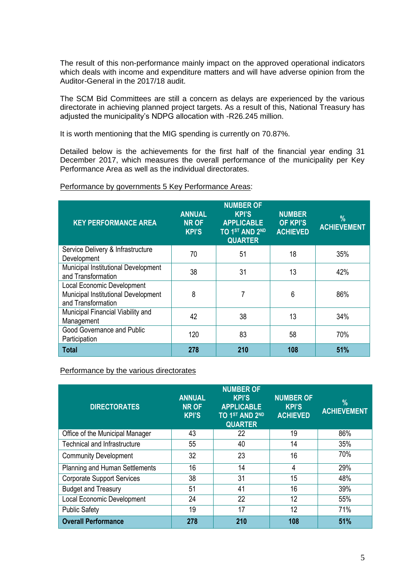The result of this non-performance mainly impact on the approved operational indicators which deals with income and expenditure matters and will have adverse opinion from the Auditor-General in the 2017/18 audit.

The SCM Bid Committees are still a concern as delays are experienced by the various directorate in achieving planned project targets. As a result of this, National Treasury has adjusted the municipality's NDPG allocation with -R26.245 million.

It is worth mentioning that the MIG spending is currently on 70.87%.

Detailed below is the achievements for the first half of the financial year ending 31 December 2017, which measures the overall performance of the municipality per Key Performance Area as well as the individual directorates.

| Performance by governments 5 Key Performance Areas: |  |  |
|-----------------------------------------------------|--|--|
|                                                     |  |  |

| <b>KEY PERFORMANCE AREA</b>                                                                    | <b>ANNUAL</b><br><b>NR OF</b><br><b>KPI'S</b> | <b>NUMBER OF</b><br><b>KPI'S</b><br><b>APPLICABLE</b><br>TO 1ST AND 2ND<br><b>QUARTER</b> | <b>NUMBER</b><br><b>OF KPI'S</b><br><b>ACHIEVED</b> | %<br><b>ACHIEVEMENT</b> |
|------------------------------------------------------------------------------------------------|-----------------------------------------------|-------------------------------------------------------------------------------------------|-----------------------------------------------------|-------------------------|
| Service Delivery & Infrastructure<br>Development                                               | 70                                            | 51                                                                                        | 18                                                  | 35%                     |
| Municipal Institutional Development<br>and Transformation                                      | 38                                            | 31                                                                                        | 13                                                  | 42%                     |
| <b>Local Economic Development</b><br>Municipal Institutional Development<br>and Transformation | 8                                             | 7                                                                                         | 6                                                   | 86%                     |
| Municipal Financial Viability and<br>Management                                                | 42                                            | 38                                                                                        | 13                                                  | 34%                     |
| Good Governance and Public<br>Participation                                                    | 120                                           | 83                                                                                        | 58                                                  | 70%                     |
| <b>Total</b>                                                                                   | 278                                           | 210                                                                                       | 108                                                 | 51%                     |

Performance by the various directorates

| <b>DIRECTORATES</b>               | <b>ANNUAL</b><br><b>NR OF</b><br><b>KPI'S</b> | <b>NUMBER OF</b><br><b>KPI'S</b><br><b>APPLICABLE</b><br>TO 1ST AND 2ND<br><b>QUARTER</b> | <b>NUMBER OF</b><br><b>KPI'S</b><br><b>ACHIEVED</b> | $\%$<br><b>ACHIEVEMENT</b> |
|-----------------------------------|-----------------------------------------------|-------------------------------------------------------------------------------------------|-----------------------------------------------------|----------------------------|
| Office of the Municipal Manager   | 43                                            | 22                                                                                        | 19                                                  | 86%                        |
| Technical and Infrastructure      | 55                                            | 40                                                                                        | 14                                                  | 35%                        |
| <b>Community Development</b>      | 32                                            | 23                                                                                        | 16                                                  | 70%                        |
| Planning and Human Settlements    | 16                                            | 14                                                                                        | 4                                                   | 29%                        |
| <b>Corporate Support Services</b> | 38                                            | 31                                                                                        | 15                                                  | 48%                        |
| <b>Budget and Treasury</b>        | 51                                            | 41                                                                                        | 16                                                  | 39%                        |
| Local Economic Development        | 24                                            | 22                                                                                        | 12                                                  | 55%                        |
| <b>Public Safety</b>              | 19                                            | 17                                                                                        | 12                                                  | 71%                        |
| <b>Overall Performance</b>        | 278                                           | 210                                                                                       | 108                                                 | 51%                        |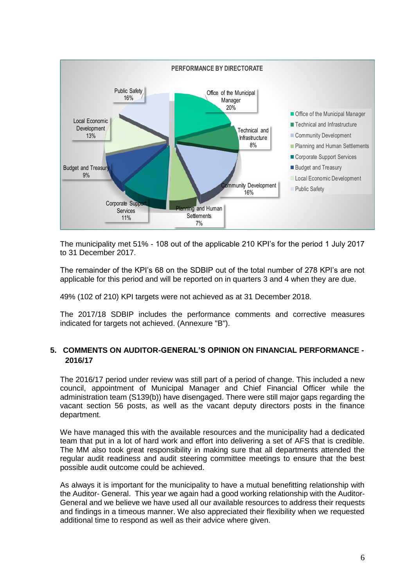

The municipality met 51% - 108 out of the applicable 210 KPI's for the period 1 July 2017 to 31 December 2017.

The remainder of the KPI's 68 on the SDBIP out of the total number of 278 KPI's are not applicable for this period and will be reported on in quarters 3 and 4 when they are due.

49% (102 of 210) KPI targets were not achieved as at 31 December 2018.

The 2017/18 SDBIP includes the performance comments and corrective measures indicated for targets not achieved. (Annexure "B").

## **5. COMMENTS ON AUDITOR-GENERAL'S OPINION ON FINANCIAL PERFORMANCE - 2016/17**

The 2016/17 period under review was still part of a period of change. This included a new council, appointment of Municipal Manager and Chief Financial Officer while the administration team (S139(b)) have disengaged. There were still major gaps regarding the vacant section 56 posts, as well as the vacant deputy directors posts in the finance department.

We have managed this with the available resources and the municipality had a dedicated team that put in a lot of hard work and effort into delivering a set of AFS that is credible. The MM also took great responsibility in making sure that all departments attended the regular audit readiness and audit steering committee meetings to ensure that the best possible audit outcome could be achieved.

As always it is important for the municipality to have a mutual benefitting relationship with the Auditor- General. This year we again had a good working relationship with the Auditor-General and we believe we have used all our available resources to address their requests and findings in a timeous manner. We also appreciated their flexibility when we requested additional time to respond as well as their advice where given.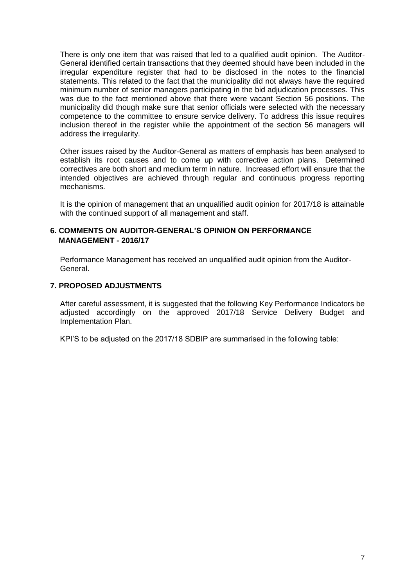There is only one item that was raised that led to a qualified audit opinion. The Auditor-General identified certain transactions that they deemed should have been included in the irregular expenditure register that had to be disclosed in the notes to the financial statements. This related to the fact that the municipality did not always have the required minimum number of senior managers participating in the bid adjudication processes. This was due to the fact mentioned above that there were vacant Section 56 positions. The municipality did though make sure that senior officials were selected with the necessary competence to the committee to ensure service delivery. To address this issue requires inclusion thereof in the register while the appointment of the section 56 managers will address the irregularity.

Other issues raised by the Auditor-General as matters of emphasis has been analysed to establish its root causes and to come up with corrective action plans. Determined correctives are both short and medium term in nature. Increased effort will ensure that the intended objectives are achieved through regular and continuous progress reporting mechanisms.

It is the opinion of management that an unqualified audit opinion for 2017/18 is attainable with the continued support of all management and staff.

#### **6. COMMENTS ON AUDITOR-GENERAL'S OPINION ON PERFORMANCE MANAGEMENT - 2016/17**

Performance Management has received an unqualified audit opinion from the Auditor-General.

#### **7. PROPOSED ADJUSTMENTS**

After careful assessment, it is suggested that the following Key Performance Indicators be adjusted accordingly on the approved 2017/18 Service Delivery Budget and Implementation Plan.

KPI'S to be adjusted on the 2017/18 SDBIP are summarised in the following table: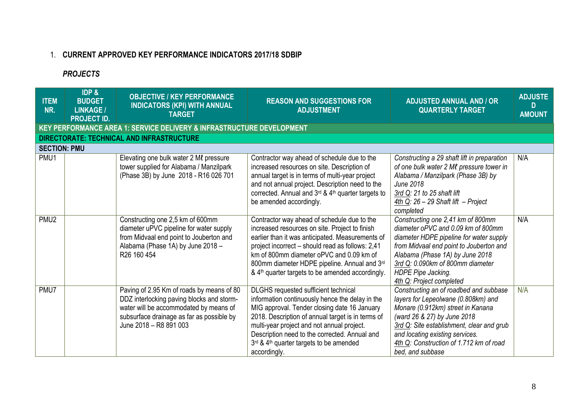# 1. **CURRENT APPROVED KEY PERFORMANCE INDICATORS 2017/18 SDBIP**

# *PROJECTS*

| <b>ITEM</b><br>NR.  | <b>IDP &amp;</b><br><b>BUDGET</b><br><b>LINKAGE /</b><br><b>PROJECT ID.</b> | <b>OBJECTIVE / KEY PERFORMANCE</b><br><b>INDICATORS (KPI) WITH ANNUAL</b><br><b>TARGET</b>                                                                                                              | <b>REASON AND SUGGESTIONS FOR</b><br><b>ADJUSTMENT</b>                                                                                                                                                                                                                                                                                                            | <b>ADJUSTED ANNUAL AND / OR</b><br><b>QUARTERLY TARGET</b>                                                                                                                                                                                                                                       | <b>ADJUSTE</b><br>D<br><b>AMOUNT</b> |  |  |  |  |
|---------------------|-----------------------------------------------------------------------------|---------------------------------------------------------------------------------------------------------------------------------------------------------------------------------------------------------|-------------------------------------------------------------------------------------------------------------------------------------------------------------------------------------------------------------------------------------------------------------------------------------------------------------------------------------------------------------------|--------------------------------------------------------------------------------------------------------------------------------------------------------------------------------------------------------------------------------------------------------------------------------------------------|--------------------------------------|--|--|--|--|
|                     | KEY PERFORMANCE AREA 1: SERVICE DELIVERY & INFRASTRUCTURE DEVELOPMENT       |                                                                                                                                                                                                         |                                                                                                                                                                                                                                                                                                                                                                   |                                                                                                                                                                                                                                                                                                  |                                      |  |  |  |  |
|                     |                                                                             | DIRECTORATE: TECHNICAL AND INFRASTRUCTURE                                                                                                                                                               |                                                                                                                                                                                                                                                                                                                                                                   |                                                                                                                                                                                                                                                                                                  |                                      |  |  |  |  |
| <b>SECTION: PMU</b> |                                                                             |                                                                                                                                                                                                         |                                                                                                                                                                                                                                                                                                                                                                   |                                                                                                                                                                                                                                                                                                  |                                      |  |  |  |  |
| PMU1                |                                                                             | Elevating one bulk water 2 Ml pressure<br>tower supplied for Alabama / Manzilpark<br>(Phase 3B) by June 2018 - R16 026 701                                                                              | Contractor way ahead of schedule due to the<br>increased resources on site. Description of<br>annual target is in terms of multi-year project<br>and not annual project. Description need to the<br>corrected. Annual and 3rd & 4th quarter targets to<br>be amended accordingly.                                                                                 | Constructing a 29 shaft lift in preparation<br>of one bulk water 2 Ml pressure tower in<br>Alabama / Manzilpark (Phase 3B) by<br><b>June 2018</b><br>3rd Q: 21 to 25 shaft lift<br>$4th Q$ : 26 - 29 Shaft lift - Project<br>completed                                                           | N/A                                  |  |  |  |  |
| PMU <sub>2</sub>    |                                                                             | Constructing one 2,5 km of 600mm<br>diameter uPVC pipeline for water supply<br>from Midvaal end point to Jouberton and<br>Alabama (Phase 1A) by June 2018 -<br>R <sub>26</sub> 160 454                  | Contractor way ahead of schedule due to the<br>increased resources on site. Project to finish<br>earlier than it was anticipated. Measurements of<br>project incorrect - should read as follows: 2,41<br>km of 800mm diameter oPVC and 0.09 km of<br>800mm diameter HDPE pipeline. Annual and 3rd<br>& 4 <sup>th</sup> quarter targets to be amended accordingly. | Constructing one 2,41 km of 800mm<br>diameter oPVC and 0.09 km of 800mm<br>diameter HDPE pipeline for water supply<br>from Midvaal end point to Jouberton and<br>Alabama (Phase 1A) by June 2018<br>3rd Q: 0.090km of 800mm diameter<br>HDPE Pipe Jacking.<br>4th Q: Project completed           | N/A                                  |  |  |  |  |
| PMU7                |                                                                             | Paving of 2.95 Km of roads by means of 80<br>DDZ interlocking paving blocks and storm-<br>water will be accommodated by means of<br>subsurface drainage as far as possible by<br>June 2018 - R8 891 003 | DLGHS requested sufficient technical<br>information continuously hence the delay in the<br>MIG approval. Tender closing date 16 January<br>2018. Description of annual target is in terms of<br>multi-year project and not annual project.<br>Description need to the corrected. Annual and<br>3rd & 4th quarter targets to be amended<br>accordingly.            | Constructing an of roadbed and subbase<br>layers for Lepeolwane (0.808km) and<br>Monare (0.912km) street in Kanana<br>(ward 26 & 27) by June 2018<br>3rd Q: Site establishment, clear and grub<br>and locating existing services.<br>4th Q: Construction of 1.712 km of road<br>bed, and subbase | N/A                                  |  |  |  |  |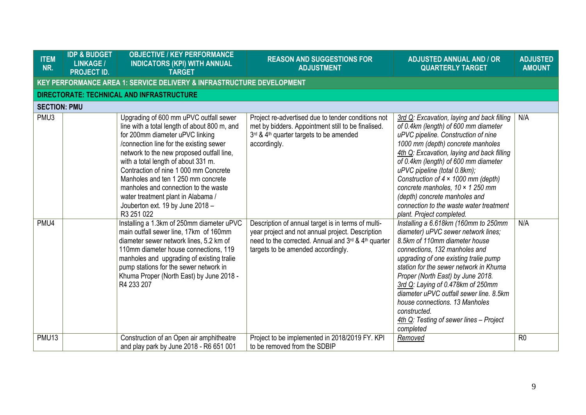| <b>ITEM</b><br>NR.  | <b>IDP &amp; BUDGET</b><br><b>LINKAGE /</b><br><b>PROJECT ID.</b> | <b>OBJECTIVE / KEY PERFORMANCE</b><br><b>INDICATORS (KPI) WITH ANNUAL</b><br><b>TARGET</b>                                                                                                                                                                                                                                                                                                                                                                              | <b>REASON AND SUGGESTIONS FOR</b><br><b>ADJUSTMENT</b>                                                                                                                                              | <b>ADJUSTED ANNUAL AND / OR</b><br><b>QUARTERLY TARGET</b>                                                                                                                                                                                                                                                                                                                                                                                                                            | <b>ADJUSTED</b><br><b>AMOUNT</b> |
|---------------------|-------------------------------------------------------------------|-------------------------------------------------------------------------------------------------------------------------------------------------------------------------------------------------------------------------------------------------------------------------------------------------------------------------------------------------------------------------------------------------------------------------------------------------------------------------|-----------------------------------------------------------------------------------------------------------------------------------------------------------------------------------------------------|---------------------------------------------------------------------------------------------------------------------------------------------------------------------------------------------------------------------------------------------------------------------------------------------------------------------------------------------------------------------------------------------------------------------------------------------------------------------------------------|----------------------------------|
|                     |                                                                   | <b>KEY PERFORMANCE AREA 1: SERVICE DELIVERY &amp; INFRASTRUCTURE DEVELOPMENT</b>                                                                                                                                                                                                                                                                                                                                                                                        |                                                                                                                                                                                                     |                                                                                                                                                                                                                                                                                                                                                                                                                                                                                       |                                  |
|                     |                                                                   | DIRECTORATE: TECHNICAL AND INFRASTRUCTURE                                                                                                                                                                                                                                                                                                                                                                                                                               |                                                                                                                                                                                                     |                                                                                                                                                                                                                                                                                                                                                                                                                                                                                       |                                  |
| <b>SECTION: PMU</b> |                                                                   |                                                                                                                                                                                                                                                                                                                                                                                                                                                                         |                                                                                                                                                                                                     |                                                                                                                                                                                                                                                                                                                                                                                                                                                                                       |                                  |
| PMU3                |                                                                   | Upgrading of 600 mm uPVC outfall sewer<br>line with a total length of about 800 m, and<br>for 200mm diameter uPVC linking<br>/connection line for the existing sewer<br>network to the new proposed outfall line,<br>with a total length of about 331 m.<br>Contraction of nine 1 000 mm Concrete<br>Manholes and ten 1 250 mm concrete<br>manholes and connection to the waste<br>water treatment plant in Alabama /<br>Jouberton ext. 19 by June 2018 -<br>R3 251 022 | Project re-advertised due to tender conditions not<br>met by bidders. Appointment still to be finalised.<br>3rd & 4 <sup>th</sup> quarter targets to be amended<br>accordingly.                     | 3rd Q: Excavation, laying and back filling<br>of 0.4km (length) of 600 mm diameter<br>uPVC pipeline. Construction of nine<br>1000 mm (depth) concrete manholes<br>4th Q: Excavation, laying and back filling<br>of 0.4km (length) of 600 mm diameter<br>uPVC pipeline (total 0.8km);<br>Construction of $4 \times 1000$ mm (depth)<br>concrete manholes, $10 \times 1250$ mm<br>(depth) concrete manholes and<br>connection to the waste water treatment<br>plant. Project completed. | N/A                              |
| PMU4                |                                                                   | Installing a 1.3km of 250mm diameter uPVC<br>main outfall sewer line, 17km of 160mm<br>diameter sewer network lines, 5.2 km of<br>110mm diameter house connections, 119<br>manholes and upgrading of existing tralie<br>pump stations for the sewer network in<br>Khuma Proper (North East) by June 2018 -<br>R4 233 207                                                                                                                                                | Description of annual target is in terms of multi-<br>year project and not annual project. Description<br>need to the corrected. Annual and 3rd & 4th quarter<br>targets to be amended accordingly. | Installing a 6.618km (160mm to 250mm<br>diameter) uPVC sewer network lines;<br>8.5km of 110mm diameter house<br>connections, 132 manholes and<br>upgrading of one existing tralie pump<br>station for the sewer network in Khuma<br>Proper (North East) by June 2018.<br>3rd Q: Laying of 0.478km of 250mm<br>diameter uPVC outfall sewer line. 8.5km<br>house connections. 13 Manholes<br>constructed.<br>4th Q: Testing of sewer lines - Project<br>completed                       | N/A                              |
| PMU <sub>13</sub>   |                                                                   | Construction of an Open air amphitheatre<br>and play park by June 2018 - R6 651 001                                                                                                                                                                                                                                                                                                                                                                                     | Project to be implemented in 2018/2019 FY. KPI<br>to be removed from the SDBIP                                                                                                                      | Removed                                                                                                                                                                                                                                                                                                                                                                                                                                                                               | R <sub>0</sub>                   |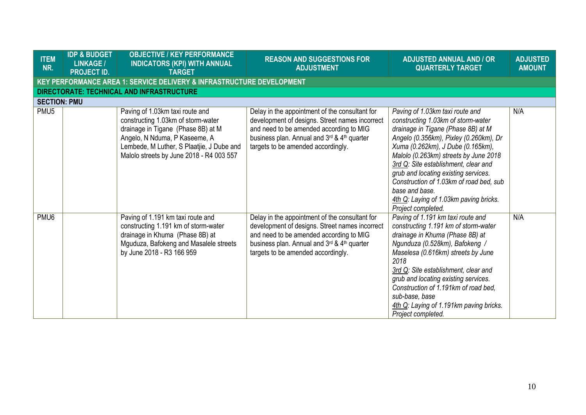| <b>ITEM</b><br>NR.  | <b>IDP &amp; BUDGET</b><br><b>LINKAGE /</b><br><b>PROJECT ID.</b> | <b>OBJECTIVE / KEY PERFORMANCE</b><br><b>INDICATORS (KPI) WITH ANNUAL</b><br><b>TARGET</b>                                                                                                                                            | <b>REASON AND SUGGESTIONS FOR</b><br><b>ADJUSTMENT</b>                                                                                                                                                                           | <b>ADJUSTED ANNUAL AND / OR</b><br><b>QUARTERLY TARGET</b>                                                                                                                                                                                                                                                                                                                                                                                       | <b>ADJUSTED</b><br><b>AMOUNT</b> |
|---------------------|-------------------------------------------------------------------|---------------------------------------------------------------------------------------------------------------------------------------------------------------------------------------------------------------------------------------|----------------------------------------------------------------------------------------------------------------------------------------------------------------------------------------------------------------------------------|--------------------------------------------------------------------------------------------------------------------------------------------------------------------------------------------------------------------------------------------------------------------------------------------------------------------------------------------------------------------------------------------------------------------------------------------------|----------------------------------|
|                     |                                                                   | KEY PERFORMANCE AREA 1: SERVICE DELIVERY & INFRASTRUCTURE DEVELOPMENT                                                                                                                                                                 |                                                                                                                                                                                                                                  |                                                                                                                                                                                                                                                                                                                                                                                                                                                  |                                  |
|                     |                                                                   | DIRECTORATE: TECHNICAL AND INFRASTRUCTURE                                                                                                                                                                                             |                                                                                                                                                                                                                                  |                                                                                                                                                                                                                                                                                                                                                                                                                                                  |                                  |
| <b>SECTION: PMU</b> |                                                                   |                                                                                                                                                                                                                                       |                                                                                                                                                                                                                                  |                                                                                                                                                                                                                                                                                                                                                                                                                                                  |                                  |
| PMU <sub>5</sub>    |                                                                   | Paving of 1.03km taxi route and<br>constructing 1.03km of storm-water<br>drainage in Tigane (Phase 8B) at M<br>Angelo, N Nduma, P Kaseeme, A<br>Lembede, M Luther, S Plaatjie, J Dube and<br>Malolo streets by June 2018 - R4 003 557 | Delay in the appointment of the consultant for<br>development of designs. Street names incorrect<br>and need to be amended according to MIG<br>business plan. Annual and 3rd & 4th quarter<br>targets to be amended accordingly. | Paving of 1.03km taxi route and<br>constructing 1.03km of storm-water<br>drainage in Tigane (Phase 8B) at M<br>Angelo (0.356km), Pixley (0.260km), Dr<br>Xuma (0.262km), J Dube (0.165km),<br>Malolo (0.263km) streets by June 2018<br>3rd Q: Site establishment, clear and<br>grub and locating existing services.<br>Construction of 1.03km of road bed, sub<br>base and base.<br>4th Q: Laying of 1.03km paving bricks.<br>Project completed. | N/A                              |
| PMU <sub>6</sub>    |                                                                   | Paving of 1.191 km taxi route and<br>constructing 1.191 km of storm-water<br>drainage in Khuma (Phase 8B) at<br>Mguduza, Bafokeng and Masalele streets<br>by June 2018 - R3 166 959                                                   | Delay in the appointment of the consultant for<br>development of designs. Street names incorrect<br>and need to be amended according to MIG<br>business plan. Annual and 3rd & 4th quarter<br>targets to be amended accordingly. | Paving of 1.191 km taxi route and<br>constructing 1.191 km of storm-water<br>drainage in Khuma (Phase 8B) at<br>Ngunduza (0.528km), Bafokeng /<br>Maselesa (0.616km) streets by June<br>2018<br>3rd Q: Site establishment, clear and<br>grub and locating existing services.<br>Construction of 1.191km of road bed,<br>sub-base, base<br>4th Q: Laying of 1.191km paving bricks.<br>Project completed.                                          | N/A                              |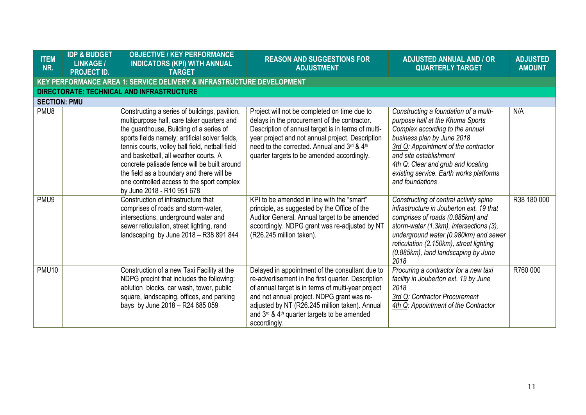| <b>ITEM</b><br>NR.  | <b>IDP &amp; BUDGET</b><br><b>LINKAGE /</b><br><b>PROJECT ID.</b> | <b>OBJECTIVE / KEY PERFORMANCE</b><br><b>INDICATORS (KPI) WITH ANNUAL</b><br><b>TARGET</b>                                                                                                                                                                                                                                                                                                                                                                     | <b>REASON AND SUGGESTIONS FOR</b><br><b>ADJUSTMENT</b>                                                                                                                                                                                                                                                                               | <b>ADJUSTED ANNUAL AND / OR</b><br><b>QUARTERLY TARGET</b>                                                                                                                                                                                                                                                       | <b>ADJUSTED</b><br><b>AMOUNT</b> |
|---------------------|-------------------------------------------------------------------|----------------------------------------------------------------------------------------------------------------------------------------------------------------------------------------------------------------------------------------------------------------------------------------------------------------------------------------------------------------------------------------------------------------------------------------------------------------|--------------------------------------------------------------------------------------------------------------------------------------------------------------------------------------------------------------------------------------------------------------------------------------------------------------------------------------|------------------------------------------------------------------------------------------------------------------------------------------------------------------------------------------------------------------------------------------------------------------------------------------------------------------|----------------------------------|
|                     |                                                                   | KEY PERFORMANCE AREA 1: SERVICE DELIVERY & INFRASTRUCTURE DEVELOPMENT                                                                                                                                                                                                                                                                                                                                                                                          |                                                                                                                                                                                                                                                                                                                                      |                                                                                                                                                                                                                                                                                                                  |                                  |
|                     |                                                                   | DIRECTORATE: TECHNICAL AND INFRASTRUCTURE                                                                                                                                                                                                                                                                                                                                                                                                                      |                                                                                                                                                                                                                                                                                                                                      |                                                                                                                                                                                                                                                                                                                  |                                  |
| <b>SECTION: PMU</b> |                                                                   |                                                                                                                                                                                                                                                                                                                                                                                                                                                                |                                                                                                                                                                                                                                                                                                                                      |                                                                                                                                                                                                                                                                                                                  |                                  |
| PMU8                |                                                                   | Constructing a series of buildings, pavilion,<br>multipurpose hall, care taker quarters and<br>the guardhouse, Building of a series of<br>sports fields namely; artificial solver fields,<br>tennis courts, volley ball field, netball field<br>and basketball, all weather courts. A<br>concrete palisade fence will be built around<br>the field as a boundary and there will be<br>one controlled access to the sport complex<br>by June 2018 - R10 951 678 | Project will not be completed on time due to<br>delays in the procurement of the contractor.<br>Description of annual target is in terms of multi-<br>year project and not annual project. Description<br>need to the corrected. Annual and 3rd & 4th<br>quarter targets to be amended accordingly.                                  | Constructing a foundation of a multi-<br>purpose hall at the Khuma Sports<br>Complex according to the annual<br>business plan by June 2018<br>3rd Q: Appointment of the contractor<br>and site establishment<br>4th Q: Clear and grub and locating<br>existing service. Earth works platforms<br>and foundations | N/A                              |
| PMU9                |                                                                   | Construction of infrastructure that<br>comprises of roads and storm-water,<br>intersections, underground water and<br>sewer reticulation, street lighting, rand<br>landscaping by June 2018 - R38 891 844                                                                                                                                                                                                                                                      | KPI to be amended in line with the "smart"<br>principle, as suggested by the Office of the<br>Auditor General. Annual target to be amended<br>accordingly. NDPG grant was re-adjusted by NT<br>(R26.245 million taken).                                                                                                              | Constructing of central activity spine<br>infrastructure in Jouberton ext. 19 that<br>comprises of roads (0.885km) and<br>storm-water (1.3km), intersections (3),<br>underground water (0.980km) and sewer<br>reticulation (2.150km), street lighting<br>(0.885km), land landscaping by June<br>2018             | R38 180 000                      |
| <b>PMU10</b>        |                                                                   | Construction of a new Taxi Facility at the<br>NDPG precint that includes the following:<br>ablution blocks, car wash, tower, public<br>square, landscaping, offices, and parking<br>bays by June 2018 - R24 685 059                                                                                                                                                                                                                                            | Delayed in appointment of the consultant due to<br>re-advertisement in the first quarter. Description<br>of annual target is in terms of multi-year project<br>and not annual project. NDPG grant was re-<br>adjusted by NT (R26.245 million taken). Annual<br>and $3^{rd}$ & $4^{th}$ quarter targets to be amended<br>accordingly. | Procuring a contractor for a new taxi<br>facility in Jouberton ext. 19 by June<br>2018<br>3rd Q: Contractor Procurement<br>4th Q: Appointment of the Contractor                                                                                                                                                  | R760 000                         |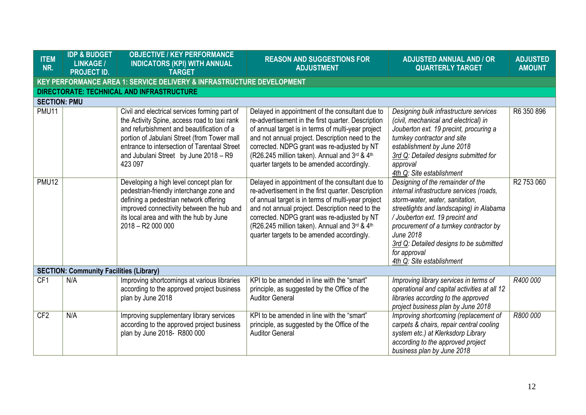| <b>ITEM</b><br>NR.  | <b>IDP &amp; BUDGET</b><br><b>LINKAGE /</b><br><b>PROJECT ID.</b> | <b>OBJECTIVE / KEY PERFORMANCE</b><br><b>INDICATORS (KPI) WITH ANNUAL</b><br><b>TARGET</b>                                                                                                                                                                                                    | <b>REASON AND SUGGESTIONS FOR</b><br><b>ADJUSTMENT</b>                                                                                                                                                                                                                                                                                                       | <b>ADJUSTED ANNUAL AND / OR</b><br><b>QUARTERLY TARGET</b>                                                                                                                                                                                                                                                                                           | <b>ADJUSTED</b><br><b>AMOUNT</b> |  |  |  |
|---------------------|-------------------------------------------------------------------|-----------------------------------------------------------------------------------------------------------------------------------------------------------------------------------------------------------------------------------------------------------------------------------------------|--------------------------------------------------------------------------------------------------------------------------------------------------------------------------------------------------------------------------------------------------------------------------------------------------------------------------------------------------------------|------------------------------------------------------------------------------------------------------------------------------------------------------------------------------------------------------------------------------------------------------------------------------------------------------------------------------------------------------|----------------------------------|--|--|--|
|                     |                                                                   | <b>KEY PERFORMANCE AREA 1: SERVICE DELIVERY &amp; INFRASTRUCTURE DEVELOPMENT</b>                                                                                                                                                                                                              |                                                                                                                                                                                                                                                                                                                                                              |                                                                                                                                                                                                                                                                                                                                                      |                                  |  |  |  |
|                     |                                                                   | <b>DIRECTORATE: TECHNICAL AND INFRASTRUCTURE</b>                                                                                                                                                                                                                                              |                                                                                                                                                                                                                                                                                                                                                              |                                                                                                                                                                                                                                                                                                                                                      |                                  |  |  |  |
| <b>SECTION: PMU</b> |                                                                   |                                                                                                                                                                                                                                                                                               |                                                                                                                                                                                                                                                                                                                                                              |                                                                                                                                                                                                                                                                                                                                                      |                                  |  |  |  |
| PMU11               |                                                                   | Civil and electrical services forming part of<br>the Activity Spine, access road to taxi rank<br>and refurbishment and beautification of a<br>portion of Jabulani Street (from Tower mall<br>entrance to intersection of Tarentaal Street<br>and Jubulani Street by June 2018 - R9<br>423 097 | Delayed in appointment of the consultant due to<br>re-advertisement in the first quarter. Description<br>of annual target is in terms of multi-year project<br>and not annual project. Description need to the<br>corrected. NDPG grant was re-adjusted by NT<br>(R26.245 million taken). Annual and 3rd & 4th<br>quarter targets to be amended accordingly. | Designing bulk infrastructure services<br>(civil, mechanical and electrical) in<br>Jouberton ext. 19 precint, procuring a<br>turnkey contractor and site<br>establishment by June 2018<br>3rd Q: Detailed designs submitted for<br>approval<br>4th Q: Site establishment                                                                             | R6 350 896                       |  |  |  |
| <b>PMU12</b>        |                                                                   | Developing a high level concept plan for<br>pedestrian-friendly interchange zone and<br>defining a pedestrian network offering<br>improved connectivity between the hub and<br>its local area and with the hub by June<br>$2018 - R2000000$                                                   | Delayed in appointment of the consultant due to<br>re-advertisement in the first quarter. Description<br>of annual target is in terms of multi-year project<br>and not annual project. Description need to the<br>corrected. NDPG grant was re-adjusted by NT<br>(R26.245 million taken). Annual and 3rd & 4th<br>quarter targets to be amended accordingly. | Designing of the remainder of the<br>internal infrastructure services (roads,<br>storm-water, water, sanitation,<br>streetlights and landscaping) in Alabama<br>/Jouberton ext. 19 precint and<br>procurement of a turnkey contractor by<br><b>June 2018</b><br>3rd Q: Detailed designs to be submitted<br>for approval<br>4th Q: Site establishment | R <sub>2</sub> 753 060           |  |  |  |
|                     | <b>SECTION: Community Facilities (Library)</b>                    |                                                                                                                                                                                                                                                                                               |                                                                                                                                                                                                                                                                                                                                                              |                                                                                                                                                                                                                                                                                                                                                      |                                  |  |  |  |
| CF <sub>1</sub>     | N/A                                                               | Improving shortcomings at various libraries<br>according to the approved project business<br>plan by June 2018                                                                                                                                                                                | KPI to be amended in line with the "smart"<br>principle, as suggested by the Office of the<br><b>Auditor General</b>                                                                                                                                                                                                                                         | Improving library services in terms of<br>operational and capital activities at all 12<br>libraries according to the approved<br>project business plan by June 2018                                                                                                                                                                                  | R400 000                         |  |  |  |
| CF <sub>2</sub>     | N/A                                                               | Improving supplementary library services<br>according to the approved project business<br>plan by June 2018- R800 000                                                                                                                                                                         | KPI to be amended in line with the "smart"<br>principle, as suggested by the Office of the<br><b>Auditor General</b>                                                                                                                                                                                                                                         | Improving shortcoming (replacement of<br>carpets & chairs, repair central cooling<br>system etc.) at Klerksdorp Library<br>according to the approved project<br>business plan by June 2018                                                                                                                                                           | R800 000                         |  |  |  |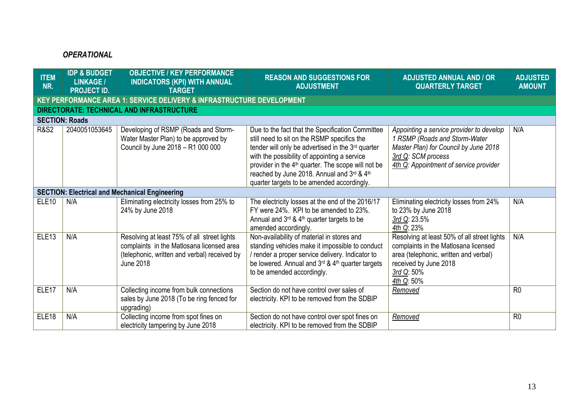# *OPERATIONAL*

| <b>ITEM</b><br>NR. | <b>IDP &amp; BUDGET</b><br><b>LINKAGE /</b><br><b>PROJECT ID.</b> | <b>OBJECTIVE / KEY PERFORMANCE</b><br><b>INDICATORS (KPI) WITH ANNUAL</b><br><b>TARGET</b>                                                            | <b>REASON AND SUGGESTIONS FOR</b><br><b>ADJUSTMENT</b>                                                                                                                                                                                                                                                                                                             | <b>ADJUSTED ANNUAL AND / OR</b><br><b>QUARTERLY TARGET</b>                                                                                                                         | <b>ADJUSTED</b><br><b>AMOUNT</b> |
|--------------------|-------------------------------------------------------------------|-------------------------------------------------------------------------------------------------------------------------------------------------------|--------------------------------------------------------------------------------------------------------------------------------------------------------------------------------------------------------------------------------------------------------------------------------------------------------------------------------------------------------------------|------------------------------------------------------------------------------------------------------------------------------------------------------------------------------------|----------------------------------|
|                    |                                                                   | KEY PERFORMANCE AREA 1: SERVICE DELIVERY & INFRASTRUCTURE DEVELOPMENT                                                                                 |                                                                                                                                                                                                                                                                                                                                                                    |                                                                                                                                                                                    |                                  |
|                    |                                                                   | DIRECTORATE: TECHNICAL AND INFRASTRUCTURE                                                                                                             |                                                                                                                                                                                                                                                                                                                                                                    |                                                                                                                                                                                    |                                  |
|                    | <b>SECTION: Roads</b>                                             |                                                                                                                                                       |                                                                                                                                                                                                                                                                                                                                                                    |                                                                                                                                                                                    |                                  |
| <b>R&amp;S2</b>    | 2040051053645                                                     | Developing of RSMP (Roads and Storm-<br>Water Master Plan) to be approved by<br>Council by June 2018 - R1 000 000                                     | Due to the fact that the Specification Committee<br>still need to sit on the RSMP specifics the<br>tender will only be advertised in the 3rd quarter<br>with the possibility of appointing a service<br>provider in the 4 <sup>th</sup> quarter. The scope will not be<br>reached by June 2018. Annual and 3rd & 4th<br>quarter targets to be amended accordingly. | Appointing a service provider to develop<br>1 RSMP (Roads and Storm-Water<br>Master Plan) for Council by June 2018<br>3rd Q: SCM process<br>4th Q: Appointment of service provider | N/A                              |
|                    |                                                                   | <b>SECTION: Electrical and Mechanical Engineering</b>                                                                                                 |                                                                                                                                                                                                                                                                                                                                                                    |                                                                                                                                                                                    |                                  |
| ELE <sub>10</sub>  | N/A                                                               | Eliminating electricity losses from 25% to<br>24% by June 2018                                                                                        | The electricity losses at the end of the 2016/17<br>FY were 24%. KPI to be amended to 23%.<br>Annual and $3rd$ & 4 <sup>th</sup> quarter targets to be<br>amended accordingly.                                                                                                                                                                                     | Eliminating electricity losses from 24%<br>to 23% by June 2018<br>3rd Q: 23.5%<br>4th Q: 23%                                                                                       | N/A                              |
| ELE <sub>13</sub>  | N/A                                                               | Resolving at least 75% of all street lights<br>complaints in the Matlosana licensed area<br>(telephonic, written and verbal) received by<br>June 2018 | Non-availability of material in stores and<br>standing vehicles make it impossible to conduct<br>/ render a proper service delivery. Indicator to<br>be lowered. Annual and 3rd & 4th quarter targets<br>to be amended accordingly.                                                                                                                                | Resolving at least 50% of all street lights<br>complaints in the Matlosana licensed<br>area (telephonic, written and verbal)<br>received by June 2018<br>3rd Q: 50%<br>4th Q: 50%  | N/A                              |
| ELE <sub>17</sub>  | N/A                                                               | Collecting income from bulk connections<br>sales by June 2018 (To be ring fenced for<br>upgrading)                                                    | Section do not have control over sales of<br>electricity. KPI to be removed from the SDBIP                                                                                                                                                                                                                                                                         | Removed                                                                                                                                                                            | R <sub>0</sub>                   |
| ELE <sub>18</sub>  | N/A                                                               | Collecting income from spot fines on<br>electricity tampering by June 2018                                                                            | Section do not have control over spot fines on<br>electricity. KPI to be removed from the SDBIP                                                                                                                                                                                                                                                                    | <b>Removed</b>                                                                                                                                                                     | R <sub>0</sub>                   |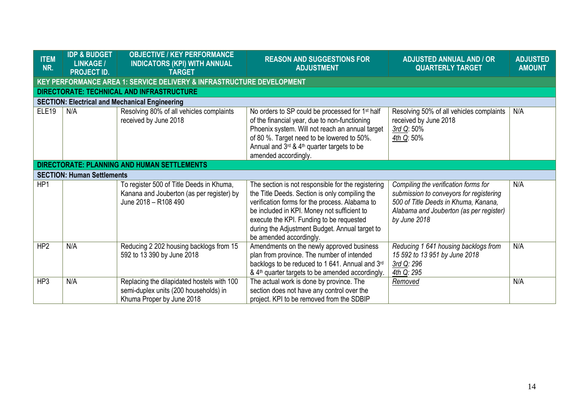| <b>ITEM</b><br>NR. | <b>IDP &amp; BUDGET</b><br><b>LINKAGE /</b><br><b>PROJECT ID.</b>     | <b>OBJECTIVE / KEY PERFORMANCE</b><br><b>INDICATORS (KPI) WITH ANNUAL</b><br><b>TARGET</b>                       | <b>REASON AND SUGGESTIONS FOR</b><br><b>ADJUSTMENT</b>                                                                                                                                                                                                                                                                         | <b>ADJUSTED ANNUAL AND / OR</b><br><b>QUARTERLY TARGET</b>                                                                                                                         | <b>ADJUSTED</b><br><b>AMOUNT</b> |  |  |  |  |
|--------------------|-----------------------------------------------------------------------|------------------------------------------------------------------------------------------------------------------|--------------------------------------------------------------------------------------------------------------------------------------------------------------------------------------------------------------------------------------------------------------------------------------------------------------------------------|------------------------------------------------------------------------------------------------------------------------------------------------------------------------------------|----------------------------------|--|--|--|--|
|                    | KEY PERFORMANCE AREA 1: SERVICE DELIVERY & INFRASTRUCTURE DEVELOPMENT |                                                                                                                  |                                                                                                                                                                                                                                                                                                                                |                                                                                                                                                                                    |                                  |  |  |  |  |
|                    |                                                                       | DIRECTORATE: TECHNICAL AND INFRASTRUCTURE                                                                        |                                                                                                                                                                                                                                                                                                                                |                                                                                                                                                                                    |                                  |  |  |  |  |
|                    |                                                                       | <b>SECTION: Electrical and Mechanical Engineering</b>                                                            |                                                                                                                                                                                                                                                                                                                                |                                                                                                                                                                                    |                                  |  |  |  |  |
| <b>ELE19</b>       | N/A                                                                   | Resolving 80% of all vehicles complaints<br>received by June 2018                                                | No orders to SP could be processed for 1 <sup>st</sup> half<br>of the financial year, due to non-functioning<br>Phoenix system. Will not reach an annual target<br>of 80 %. Target need to be lowered to 50%.<br>Annual and 3rd & 4 <sup>th</sup> quarter targets to be<br>amended accordingly.                                | Resolving 50% of all vehicles complaints<br>received by June 2018<br>3rd Q: 50%<br>4th Q: 50%                                                                                      | N/A                              |  |  |  |  |
|                    |                                                                       | <b>DIRECTORATE: PLANNING AND HUMAN SETTLEMENTS</b>                                                               |                                                                                                                                                                                                                                                                                                                                |                                                                                                                                                                                    |                                  |  |  |  |  |
|                    | <b>SECTION: Human Settlements</b>                                     |                                                                                                                  |                                                                                                                                                                                                                                                                                                                                |                                                                                                                                                                                    |                                  |  |  |  |  |
| HP1                |                                                                       | To register 500 of Title Deeds in Khuma,<br>Kanana and Jouberton (as per register) by<br>June 2018 - R108 490    | The section is not responsible for the registering<br>the Title Deeds. Section is only compiling the<br>verification forms for the process. Alabama to<br>be included in KPI. Money not sufficient to<br>execute the KPI. Funding to be requested<br>during the Adjustment Budget. Annual target to<br>be amended accordingly. | Compiling the verification forms for<br>submission to conveyors for registering<br>500 of Title Deeds in Khuma, Kanana,<br>Alabama and Jouberton (as per register)<br>by June 2018 | N/A                              |  |  |  |  |
| HP <sub>2</sub>    | N/A                                                                   | Reducing 2 202 housing backlogs from 15<br>592 to 13 390 by June 2018                                            | Amendments on the newly approved business<br>plan from province. The number of intended<br>backlogs to be reduced to 1 641. Annual and 3rd<br>& 4 <sup>th</sup> quarter targets to be amended accordingly.                                                                                                                     | Reducing 1 641 housing backlogs from<br>15 592 to 13 951 by June 2018<br>3rd Q: 296<br>4th Q: 295                                                                                  | N/A                              |  |  |  |  |
| HP3                | N/A                                                                   | Replacing the dilapidated hostels with 100<br>semi-duplex units (200 households) in<br>Khuma Proper by June 2018 | The actual work is done by province. The<br>section does not have any control over the<br>project. KPI to be removed from the SDBIP                                                                                                                                                                                            | <b>Removed</b>                                                                                                                                                                     | N/A                              |  |  |  |  |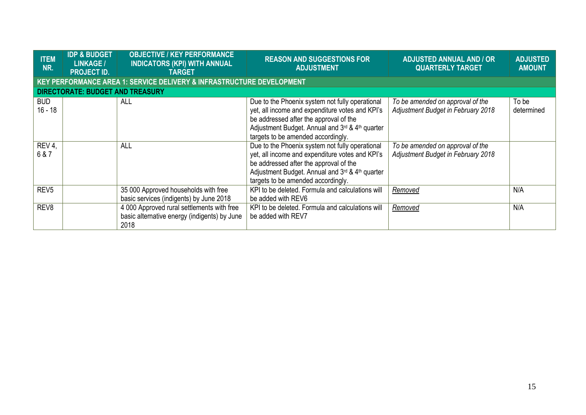| <b>ITEM</b><br>NR.      | <b>IDP &amp; BUDGET</b><br><b>LINKAGE /</b><br><b>PROJECT ID.</b> | <b>OBJECTIVE / KEY PERFORMANCE</b><br><b>INDICATORS (KPI) WITH ANNUAL</b><br><b>TARGET</b>         | <b>REASON AND SUGGESTIONS FOR</b><br><b>ADJUSTMENT</b>                                                                                                                                                                                | <b>ADJUSTED ANNUAL AND / OR</b><br><b>QUARTERLY TARGET</b>             | <b>ADJUSTED</b><br><b>AMOUNT</b> |
|-------------------------|-------------------------------------------------------------------|----------------------------------------------------------------------------------------------------|---------------------------------------------------------------------------------------------------------------------------------------------------------------------------------------------------------------------------------------|------------------------------------------------------------------------|----------------------------------|
|                         |                                                                   | KEY PERFORMANCE AREA 1: SERVICE DELIVERY & INFRASTRUCTURE DEVELOPMENT                              |                                                                                                                                                                                                                                       |                                                                        |                                  |
|                         | <b>DIRECTORATE: BUDGET AND TREASURY</b>                           |                                                                                                    |                                                                                                                                                                                                                                       |                                                                        |                                  |
| <b>BUD</b><br>$16 - 18$ |                                                                   | <b>ALL</b>                                                                                         | Due to the Phoenix system not fully operational<br>yet, all income and expenditure votes and KPI's<br>be addressed after the approval of the<br>Adjustment Budget. Annual and 3rd & 4th quarter<br>targets to be amended accordingly. | To be amended on approval of the<br>Adjustment Budget in February 2018 | To be<br>determined              |
| REV 4,<br>6 & 7         |                                                                   | <b>ALL</b>                                                                                         | Due to the Phoenix system not fully operational<br>yet, all income and expenditure votes and KPI's<br>be addressed after the approval of the<br>Adjustment Budget. Annual and 3rd & 4th quarter<br>targets to be amended accordingly. | To be amended on approval of the<br>Adjustment Budget in February 2018 |                                  |
| REV <sub>5</sub>        |                                                                   | 35 000 Approved households with free<br>basic services (indigents) by June 2018                    | KPI to be deleted. Formula and calculations will<br>be added with REV6                                                                                                                                                                | <b>Removed</b>                                                         | N/A                              |
| REV <sub>8</sub>        |                                                                   | 4 000 Approved rural settlements with free<br>basic alternative energy (indigents) by June<br>2018 | KPI to be deleted. Formula and calculations will<br>be added with REV7                                                                                                                                                                | <b>Removed</b>                                                         | N/A                              |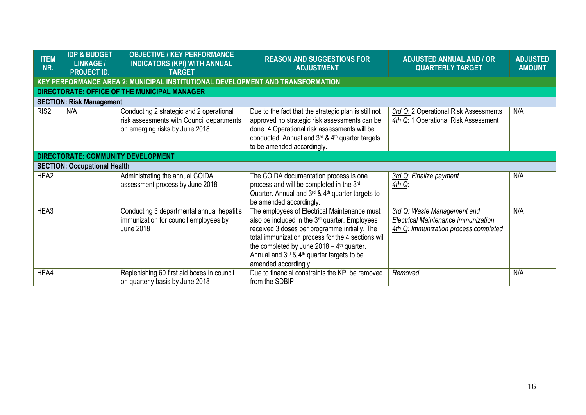| <b>ITEM</b><br>NR. | <b>IDP &amp; BUDGET</b><br><b>LINKAGE /</b><br><b>PROJECT ID.</b> | <b>OBJECTIVE / KEY PERFORMANCE</b><br><b>INDICATORS (KPI) WITH ANNUAL</b><br><b>TARGET</b>                              | <b>REASON AND SUGGESTIONS FOR</b><br><b>ADJUSTMENT</b>                                                                                                                                                                                                                                                                                                           | <b>ADJUSTED ANNUAL AND / OR</b><br><b>QUARTERLY TARGET</b>                                                  | <b>ADJUSTED</b><br><b>AMOUNT</b> |
|--------------------|-------------------------------------------------------------------|-------------------------------------------------------------------------------------------------------------------------|------------------------------------------------------------------------------------------------------------------------------------------------------------------------------------------------------------------------------------------------------------------------------------------------------------------------------------------------------------------|-------------------------------------------------------------------------------------------------------------|----------------------------------|
|                    |                                                                   | KEY PERFORMANCE AREA 2: MUNICIPAL INSTITUTIONAL DEVELOPMENT AND TRANSFORMATION                                          |                                                                                                                                                                                                                                                                                                                                                                  |                                                                                                             |                                  |
|                    |                                                                   | DIRECTORATE: OFFICE OF THE MUNICIPAL MANAGER                                                                            |                                                                                                                                                                                                                                                                                                                                                                  |                                                                                                             |                                  |
|                    | <b>SECTION: Risk Management</b>                                   |                                                                                                                         |                                                                                                                                                                                                                                                                                                                                                                  |                                                                                                             |                                  |
| RIS <sub>2</sub>   | N/A                                                               | Conducting 2 strategic and 2 operational<br>risk assessments with Council departments<br>on emerging risks by June 2018 | Due to the fact that the strategic plan is still not<br>approved no strategic risk assessments can be<br>done. 4 Operational risk assessments will be<br>conducted. Annual and $3^{rd}$ & $4^{th}$ quarter targets<br>to be amended accordingly.                                                                                                                 | 3rd Q: 2 Operational Risk Assessments<br>4th Q: 1 Operational Risk Assessment                               | N/A                              |
|                    |                                                                   | <b>DIRECTORATE: COMMUNITY DEVELOPMENT</b>                                                                               |                                                                                                                                                                                                                                                                                                                                                                  |                                                                                                             |                                  |
|                    | <b>SECTION: Occupational Health</b>                               |                                                                                                                         |                                                                                                                                                                                                                                                                                                                                                                  |                                                                                                             |                                  |
| HEA <sub>2</sub>   |                                                                   | Administrating the annual COIDA<br>assessment process by June 2018                                                      | The COIDA documentation process is one<br>process and will be completed in the 3rd<br>Quarter. Annual and $3^{rd}$ & $4^{th}$ quarter targets to<br>be amended accordingly.                                                                                                                                                                                      | 3rd Q: Finalize payment<br>4th Q: -                                                                         | N/A                              |
| HEA3               |                                                                   | Conducting 3 departmental annual hepatitis<br>immunization for council employees by<br><b>June 2018</b>                 | The employees of Electrical Maintenance must<br>also be included in the 3 <sup>rd</sup> quarter. Employees<br>received 3 doses per programme initially. The<br>total immunization process for the 4 sections will<br>the completed by June $2018 - 4$ <sup>th</sup> quarter.<br>Annual and $3rd$ & 4 <sup>th</sup> quarter targets to be<br>amended accordingly. | 3rd Q: Waste Management and<br>Electrical Maintenance immunization<br>4th Q: Immunization process completed | N/A                              |
| HEA4               |                                                                   | Replenishing 60 first aid boxes in council<br>on quarterly basis by June 2018                                           | Due to financial constraints the KPI be removed<br>from the SDBIP                                                                                                                                                                                                                                                                                                | Removed                                                                                                     | N/A                              |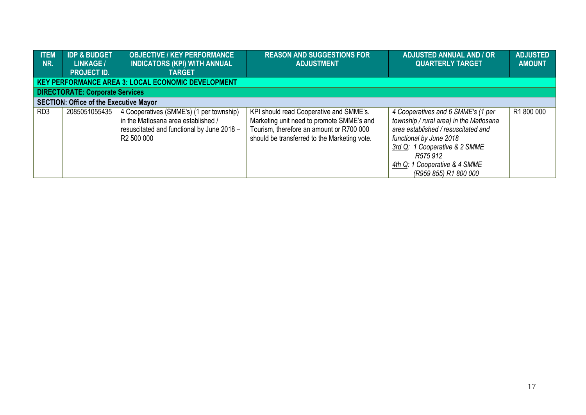| <b>ITEM</b><br>NR. | <b>IDP &amp; BUDGET</b><br><b>LINKAGE /</b><br><b>PROJECT ID.</b> | <b>OBJECTIVE / KEY PERFORMANCE</b><br><b>INDICATORS (KPI) WITH ANNUAL</b><br><b>TARGET</b>                                                              | <b>REASON AND SUGGESTIONS FOR</b><br><b>ADJUSTMENT</b>                                                                                                                           | <b>ADJUSTED ANNUAL AND / OR</b><br><b>QUARTERLY TARGET</b>                                                                                                                                                                                             | <b>ADJUSTED</b><br><b>AMOUNT</b> |
|--------------------|-------------------------------------------------------------------|---------------------------------------------------------------------------------------------------------------------------------------------------------|----------------------------------------------------------------------------------------------------------------------------------------------------------------------------------|--------------------------------------------------------------------------------------------------------------------------------------------------------------------------------------------------------------------------------------------------------|----------------------------------|
|                    |                                                                   | <b>KEY PERFORMANCE AREA 3: LOCAL ECONOMIC DEVELOPMENT</b>                                                                                               |                                                                                                                                                                                  |                                                                                                                                                                                                                                                        |                                  |
|                    | <b>DIRECTORATE: Corporate Services</b>                            |                                                                                                                                                         |                                                                                                                                                                                  |                                                                                                                                                                                                                                                        |                                  |
|                    | <b>SECTION: Office of the Executive Mayor</b>                     |                                                                                                                                                         |                                                                                                                                                                                  |                                                                                                                                                                                                                                                        |                                  |
| RD <sub>3</sub>    | 2085051055435                                                     | 4 Cooperatives (SMME's) (1 per township)<br>in the Matlosana area established /<br>resuscitated and functional by June 2018 -<br>R <sub>2</sub> 500 000 | KPI should read Cooperative and SMME's.<br>Marketing unit need to promote SMME's and<br>Tourism, therefore an amount or R700 000<br>should be transferred to the Marketing vote. | 4 Cooperatives and 6 SMME's (1 per<br>township / rural area) in the Matlosana<br>area established / resuscitated and<br>functional by June 2018<br>3rd Q: 1 Cooperative & 2 SMME<br>R575 912<br>4th Q: 1 Cooperative & 4 SMME<br>(R959 855) R1 800 000 | R1800000                         |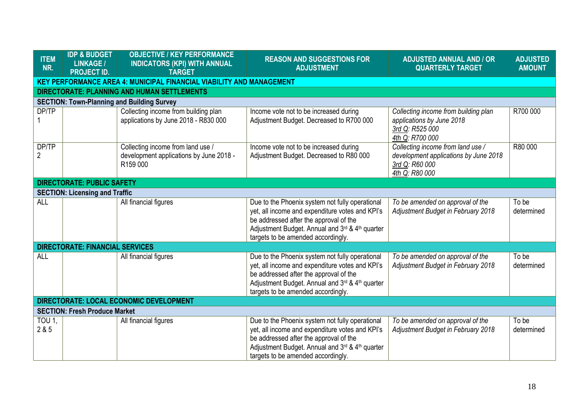| <b>ITEM</b><br>NR.      | <b>IDP &amp; BUDGET</b><br><b>LINKAGE /</b><br><b>PROJECT ID.</b>           | <b>OBJECTIVE / KEY PERFORMANCE</b><br><b>INDICATORS (KPI) WITH ANNUAL</b><br><b>TARGET</b> | <b>REASON AND SUGGESTIONS FOR</b><br><b>ADJUSTMENT</b>                                                                                                                                                                                | <b>ADJUSTED ANNUAL AND / OR</b><br><b>QUARTERLY TARGET</b>                                                     | <b>ADJUSTED</b><br><b>AMOUNT</b> |  |  |  |
|-------------------------|-----------------------------------------------------------------------------|--------------------------------------------------------------------------------------------|---------------------------------------------------------------------------------------------------------------------------------------------------------------------------------------------------------------------------------------|----------------------------------------------------------------------------------------------------------------|----------------------------------|--|--|--|
|                         | <b>KEY PERFORMANCE AREA 4: MUNICIPAL FINANCIAL VIABILITY AND MANAGEMENT</b> |                                                                                            |                                                                                                                                                                                                                                       |                                                                                                                |                                  |  |  |  |
|                         |                                                                             | <b>DIRECTORATE: PLANNING AND HUMAN SETTLEMENTS</b>                                         |                                                                                                                                                                                                                                       |                                                                                                                |                                  |  |  |  |
|                         |                                                                             | <b>SECTION: Town-Planning and Building Survey</b>                                          |                                                                                                                                                                                                                                       |                                                                                                                |                                  |  |  |  |
| DP/TP                   |                                                                             | Collecting income from building plan<br>applications by June 2018 - R830 000               | Income vote not to be increased during<br>Adjustment Budget. Decreased to R700 000                                                                                                                                                    | Collecting income from building plan<br>applications by June 2018<br>3rd Q: R525 000<br>4th Q: R700 000        | R700 000                         |  |  |  |
| DP/TP<br>$\overline{2}$ |                                                                             | Collecting income from land use /<br>development applications by June 2018 -<br>R159 000   | Income vote not to be increased during<br>Adjustment Budget. Decreased to R80 000                                                                                                                                                     | Collecting income from land use /<br>development applications by June 2018<br>3rd Q: R60 000<br>4th Q: R80 000 | R80 000                          |  |  |  |
|                         | <b>DIRECTORATE: PUBLIC SAFETY</b>                                           |                                                                                            |                                                                                                                                                                                                                                       |                                                                                                                |                                  |  |  |  |
|                         | <b>SECTION: Licensing and Traffic</b>                                       |                                                                                            |                                                                                                                                                                                                                                       |                                                                                                                |                                  |  |  |  |
| <b>ALL</b>              |                                                                             | All financial figures                                                                      | Due to the Phoenix system not fully operational<br>yet, all income and expenditure votes and KPI's<br>be addressed after the approval of the<br>Adjustment Budget. Annual and 3rd & 4th quarter<br>targets to be amended accordingly. | To be amended on approval of the<br>Adjustment Budget in February 2018                                         | To be<br>determined              |  |  |  |
|                         | <b>DIRECTORATE: FINANCIAL SERVICES</b>                                      |                                                                                            |                                                                                                                                                                                                                                       |                                                                                                                |                                  |  |  |  |
| <b>ALL</b>              |                                                                             | All financial figures                                                                      | Due to the Phoenix system not fully operational<br>yet, all income and expenditure votes and KPI's<br>be addressed after the approval of the<br>Adjustment Budget. Annual and 3rd & 4th quarter<br>targets to be amended accordingly. | To be amended on approval of the<br>Adjustment Budget in February 2018                                         | To be<br>determined              |  |  |  |
|                         |                                                                             | DIRECTORATE: LOCAL ECONOMIC DEVELOPMENT                                                    |                                                                                                                                                                                                                                       |                                                                                                                |                                  |  |  |  |
|                         | <b>SECTION: Fresh Produce Market</b>                                        |                                                                                            |                                                                                                                                                                                                                                       |                                                                                                                |                                  |  |  |  |
| TOU 1,<br>2 & 5         |                                                                             | All financial figures                                                                      | Due to the Phoenix system not fully operational<br>yet, all income and expenditure votes and KPI's<br>be addressed after the approval of the<br>Adjustment Budget. Annual and 3rd & 4th quarter<br>targets to be amended accordingly. | To be amended on approval of the<br>Adjustment Budget in February 2018                                         | To be<br>determined              |  |  |  |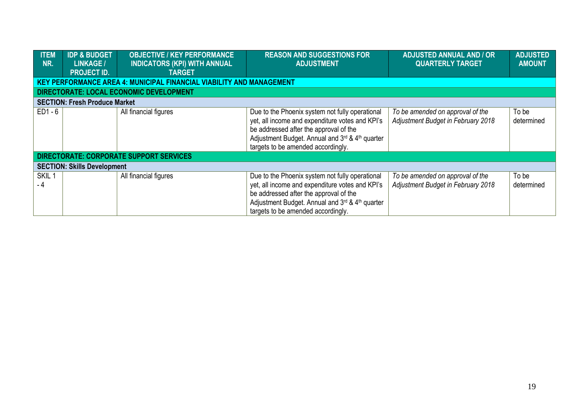| <b>ITEM</b><br>NR.       | <b>IDP &amp; BUDGET</b><br>LINKAGE /<br><b>PROJECT ID.</b> | <b>OBJECTIVE / KEY PERFORMANCE</b><br><b>INDICATORS (KPI) WITH ANNUAL</b><br><b>TARGET</b> | <b>REASON AND SUGGESTIONS FOR</b><br><b>ADJUSTMENT</b>                                                                                                                                                                                | <b>ADJUSTED ANNUAL AND / OR</b><br><b>QUARTERLY TARGET</b>                    | <b>ADJUSTED</b><br><b>AMOUNT</b> |
|--------------------------|------------------------------------------------------------|--------------------------------------------------------------------------------------------|---------------------------------------------------------------------------------------------------------------------------------------------------------------------------------------------------------------------------------------|-------------------------------------------------------------------------------|----------------------------------|
|                          |                                                            | <b>KEY PERFORMANCE AREA 4: MUNICIPAL FINANCIAL VIABILITY AND MANAGEMENT</b>                |                                                                                                                                                                                                                                       |                                                                               |                                  |
|                          |                                                            | DIRECTORATE: LOCAL ECONOMIC DEVELOPMENT                                                    |                                                                                                                                                                                                                                       |                                                                               |                                  |
|                          | <b>SECTION: Fresh Produce Market</b>                       |                                                                                            |                                                                                                                                                                                                                                       |                                                                               |                                  |
| $ED1 - 6$                |                                                            | All financial figures                                                                      | Due to the Phoenix system not fully operational<br>yet, all income and expenditure votes and KPI's<br>be addressed after the approval of the<br>Adjustment Budget. Annual and 3rd & 4th quarter<br>targets to be amended accordingly. | To be amended on approval of the<br>Adjustment Budget in February 2018        | To be<br>determined              |
|                          |                                                            | DIRECTORATE: CORPORATE SUPPORT SERVICES                                                    |                                                                                                                                                                                                                                       |                                                                               |                                  |
|                          | <b>SECTION: Skills Development</b>                         |                                                                                            |                                                                                                                                                                                                                                       |                                                                               |                                  |
| SKIL <sub>1</sub><br>- 4 |                                                            | All financial figures                                                                      | Due to the Phoenix system not fully operational<br>yet, all income and expenditure votes and KPI's<br>be addressed after the approval of the<br>Adjustment Budget. Annual and 3rd & 4th quarter<br>targets to be amended accordingly. | To be amended on approval of the<br><b>Adjustment Budget in February 2018</b> | To be<br>determined              |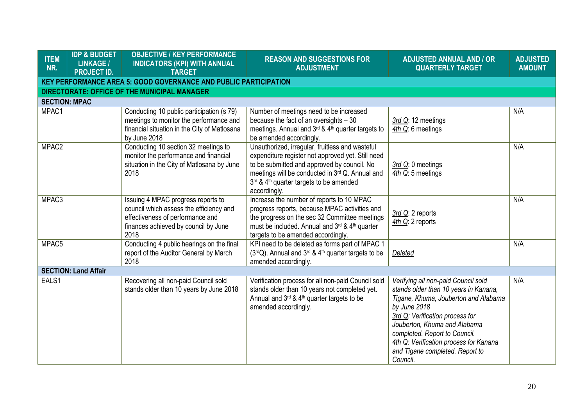| <b>ITEM</b><br>NR.   | <b>IDP &amp; BUDGET</b><br><b>LINKAGE /</b><br><b>PROJECT ID.</b>       | <b>OBJECTIVE / KEY PERFORMANCE</b><br><b>INDICATORS (KPI) WITH ANNUAL</b><br><b>TARGET</b>                                                                        | <b>REASON AND SUGGESTIONS FOR</b><br><b>ADJUSTMENT</b>                                                                                                                                                                                                                        | <b>ADJUSTED ANNUAL AND / OR</b><br><b>QUARTERLY TARGET</b>                                                                                                                                                                                                                                                                        | <b>ADJUSTED</b><br><b>AMOUNT</b> |  |  |
|----------------------|-------------------------------------------------------------------------|-------------------------------------------------------------------------------------------------------------------------------------------------------------------|-------------------------------------------------------------------------------------------------------------------------------------------------------------------------------------------------------------------------------------------------------------------------------|-----------------------------------------------------------------------------------------------------------------------------------------------------------------------------------------------------------------------------------------------------------------------------------------------------------------------------------|----------------------------------|--|--|
|                      | <b>KEY PERFORMANCE AREA 5: GOOD GOVERNANCE AND PUBLIC PARTICIPATION</b> |                                                                                                                                                                   |                                                                                                                                                                                                                                                                               |                                                                                                                                                                                                                                                                                                                                   |                                  |  |  |
|                      |                                                                         | DIRECTORATE: OFFICE OF THE MUNICIPAL MANAGER                                                                                                                      |                                                                                                                                                                                                                                                                               |                                                                                                                                                                                                                                                                                                                                   |                                  |  |  |
| <b>SECTION: MPAC</b> |                                                                         |                                                                                                                                                                   |                                                                                                                                                                                                                                                                               |                                                                                                                                                                                                                                                                                                                                   |                                  |  |  |
| MPAC1                |                                                                         | Conducting 10 public participation (s 79)<br>meetings to monitor the performance and<br>financial situation in the City of Matlosana<br>by June 2018              | Number of meetings need to be increased<br>because the fact of an oversights - 30<br>meetings. Annual and 3rd & 4th quarter targets to<br>be amended accordingly.                                                                                                             | 3rd Q: 12 meetings<br>4th Q: 6 meetings                                                                                                                                                                                                                                                                                           | N/A                              |  |  |
| MPAC <sub>2</sub>    |                                                                         | Conducting 10 section 32 meetings to<br>monitor the performance and financial<br>situation in the City of Matlosana by June<br>2018                               | Unauthorized, irregular, fruitless and wasteful<br>expenditure register not approved yet. Still need<br>to be submitted and approved by council. No<br>meetings will be conducted in 3rd Q. Annual and<br>3rd & 4 <sup>th</sup> quarter targets to be amended<br>accordingly. | 3rd Q: 0 meetings<br>4th Q: 5 meetings                                                                                                                                                                                                                                                                                            | N/A                              |  |  |
| MPAC3                |                                                                         | Issuing 4 MPAC progress reports to<br>council which assess the efficiency and<br>effectiveness of performance and<br>finances achieved by council by June<br>2018 | Increase the number of reports to 10 MPAC<br>progress reports, because MPAC activities and<br>the progress on the sec 32 Committee meetings<br>must be included. Annual and 3rd & 4th quarter<br>targets to be amended accordingly.                                           | 3rd Q: 2 reports<br>4th Q: 2 reports                                                                                                                                                                                                                                                                                              | N/A                              |  |  |
| MPAC5                |                                                                         | Conducting 4 public hearings on the final<br>report of the Auditor General by March<br>2018                                                                       | KPI need to be deleted as forms part of MPAC 1<br>(3rdQ). Annual and 3rd & 4th quarter targets to be<br>amended accordingly.                                                                                                                                                  | Deleted                                                                                                                                                                                                                                                                                                                           | N/A                              |  |  |
|                      | <b>SECTION: Land Affair</b>                                             |                                                                                                                                                                   |                                                                                                                                                                                                                                                                               |                                                                                                                                                                                                                                                                                                                                   |                                  |  |  |
| EALS1                |                                                                         | Recovering all non-paid Council sold<br>stands older than 10 years by June 2018                                                                                   | Verification process for all non-paid Council sold<br>stands older than 10 years not completed yet.<br>Annual and 3rd & 4th quarter targets to be<br>amended accordingly.                                                                                                     | Verifying all non-paid Council sold<br>stands older than 10 years in Kanana,<br>Tigane, Khuma, Jouberton and Alabama<br>by June 2018<br>3rd Q: Verification process for<br>Jouberton, Khuma and Alabama<br>completed. Report to Council.<br>4th Q: Verification process for Kanana<br>and Tigane completed. Report to<br>Council. | N/A                              |  |  |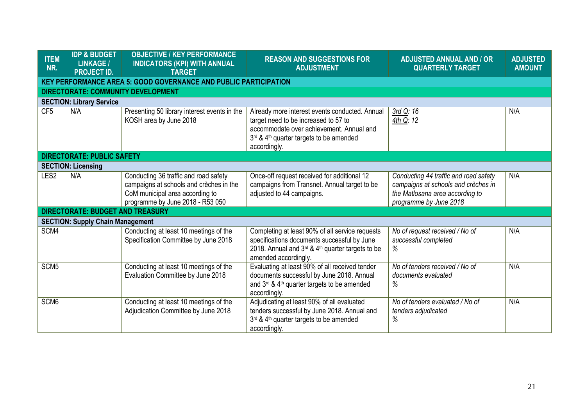| <b>ITEM</b><br>NR. | <b>IDP &amp; BUDGET</b><br><b>LINKAGE /</b><br><b>PROJECT ID.</b>       | <b>OBJECTIVE / KEY PERFORMANCE</b><br><b>INDICATORS (KPI) WITH ANNUAL</b><br><b>TARGET</b>                                                              | <b>REASON AND SUGGESTIONS FOR</b><br><b>ADJUSTMENT</b>                                                                                                                                                    | <b>ADJUSTED ANNUAL AND / OR</b><br><b>QUARTERLY TARGET</b>                                                                                | <b>ADJUSTED</b><br><b>AMOUNT</b> |  |  |  |
|--------------------|-------------------------------------------------------------------------|---------------------------------------------------------------------------------------------------------------------------------------------------------|-----------------------------------------------------------------------------------------------------------------------------------------------------------------------------------------------------------|-------------------------------------------------------------------------------------------------------------------------------------------|----------------------------------|--|--|--|
|                    | <b>KEY PERFORMANCE AREA 5: GOOD GOVERNANCE AND PUBLIC PARTICIPATION</b> |                                                                                                                                                         |                                                                                                                                                                                                           |                                                                                                                                           |                                  |  |  |  |
|                    |                                                                         | <b>DIRECTORATE: COMMUNITY DEVELOPMENT</b>                                                                                                               |                                                                                                                                                                                                           |                                                                                                                                           |                                  |  |  |  |
|                    | <b>SECTION: Library Service</b>                                         |                                                                                                                                                         |                                                                                                                                                                                                           |                                                                                                                                           |                                  |  |  |  |
| CF <sub>5</sub>    | N/A                                                                     | Presenting 50 library interest events in the<br>KOSH area by June 2018                                                                                  | Already more interest events conducted. Annual<br>target need to be increased to 57 to<br>accommodate over achievement. Annual and<br>3rd & 4 <sup>th</sup> quarter targets to be amended<br>accordingly. | 3rd Q: 16<br>4th Q: 12                                                                                                                    | N/A                              |  |  |  |
|                    | <b>DIRECTORATE: PUBLIC SAFETY</b>                                       |                                                                                                                                                         |                                                                                                                                                                                                           |                                                                                                                                           |                                  |  |  |  |
|                    | <b>SECTION: Licensing</b>                                               |                                                                                                                                                         |                                                                                                                                                                                                           |                                                                                                                                           |                                  |  |  |  |
| LES <sub>2</sub>   | N/A                                                                     | Conducting 36 traffic and road safety<br>campaigns at schools and crèches in the<br>CoM municipal area according to<br>programme by June 2018 - R53 050 | Once-off request received for additional 12<br>campaigns from Transnet. Annual target to be<br>adjusted to 44 campaigns.                                                                                  | Conducting 44 traffic and road safety<br>campaigns at schools and crèches in<br>the Matlosana area according to<br>programme by June 2018 | N/A                              |  |  |  |
|                    | <b>DIRECTORATE: BUDGET AND TREASURY</b>                                 |                                                                                                                                                         |                                                                                                                                                                                                           |                                                                                                                                           |                                  |  |  |  |
|                    | <b>SECTION: Supply Chain Management</b>                                 |                                                                                                                                                         |                                                                                                                                                                                                           |                                                                                                                                           |                                  |  |  |  |
| SCM4               |                                                                         | Conducting at least 10 meetings of the<br>Specification Committee by June 2018                                                                          | Completing at least 90% of all service requests<br>specifications documents successful by June<br>2018. Annual and $3^{rd}$ & 4 <sup>th</sup> quarter targets to be<br>amended accordingly.               | No of request received / No of<br>successful completed<br>%                                                                               | N/A                              |  |  |  |
| SCM <sub>5</sub>   |                                                                         | Conducting at least 10 meetings of the<br>Evaluation Committee by June 2018                                                                             | Evaluating at least 90% of all received tender<br>documents successful by June 2018. Annual<br>and 3rd & 4 <sup>th</sup> quarter targets to be amended<br>accordingly.                                    | No of tenders received / No of<br>documents evaluated<br>%                                                                                | N/A                              |  |  |  |
| SCM <sub>6</sub>   |                                                                         | Conducting at least 10 meetings of the<br>Adjudication Committee by June 2018                                                                           | Adjudicating at least 90% of all evaluated<br>tenders successful by June 2018. Annual and<br>3rd & 4 <sup>th</sup> quarter targets to be amended<br>accordingly.                                          | No of tenders evaluated / No of<br>tenders adjudicated<br>%                                                                               | N/A                              |  |  |  |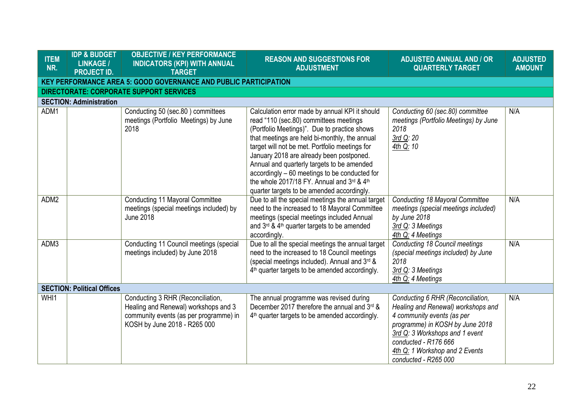| <b>ITEM</b><br>NR.                | <b>IDP &amp; BUDGET</b><br><b>LINKAGE /</b><br><b>PROJECT ID.</b>       | <b>OBJECTIVE / KEY PERFORMANCE</b><br><b>INDICATORS (KPI) WITH ANNUAL</b><br><b>TARGET</b>                                                          | <b>REASON AND SUGGESTIONS FOR</b><br><b>ADJUSTMENT</b>                                                                                                                                                                                                                                                                                                                                                                                                                             | <b>ADJUSTED ANNUAL AND / OR</b><br><b>QUARTERLY TARGET</b>                                                                                                                                                                                                   | <b>ADJUSTED</b><br><b>AMOUNT</b> |  |  |  |
|-----------------------------------|-------------------------------------------------------------------------|-----------------------------------------------------------------------------------------------------------------------------------------------------|------------------------------------------------------------------------------------------------------------------------------------------------------------------------------------------------------------------------------------------------------------------------------------------------------------------------------------------------------------------------------------------------------------------------------------------------------------------------------------|--------------------------------------------------------------------------------------------------------------------------------------------------------------------------------------------------------------------------------------------------------------|----------------------------------|--|--|--|
|                                   | <b>KEY PERFORMANCE AREA 5: GOOD GOVERNANCE AND PUBLIC PARTICIPATION</b> |                                                                                                                                                     |                                                                                                                                                                                                                                                                                                                                                                                                                                                                                    |                                                                                                                                                                                                                                                              |                                  |  |  |  |
|                                   |                                                                         | <b>DIRECTORATE: CORPORATE SUPPORT SERVICES</b>                                                                                                      |                                                                                                                                                                                                                                                                                                                                                                                                                                                                                    |                                                                                                                                                                                                                                                              |                                  |  |  |  |
|                                   | <b>SECTION: Administration</b>                                          |                                                                                                                                                     |                                                                                                                                                                                                                                                                                                                                                                                                                                                                                    |                                                                                                                                                                                                                                                              |                                  |  |  |  |
| ADM1                              |                                                                         | Conducting 50 (sec.80) committees<br>meetings (Portfolio Meetings) by June<br>2018                                                                  | Calculation error made by annual KPI it should<br>read "110 (sec.80) committees meetings<br>(Portfolio Meetings)". Due to practice shows<br>that meetings are held bi-monthly, the annual<br>target will not be met. Portfolio meetings for<br>January 2018 are already been postponed.<br>Annual and quarterly targets to be amended<br>accordingly – 60 meetings to be conducted for<br>the whole 2017/18 FY. Annual and 3rd & 4th<br>quarter targets to be amended accordingly. | Conducting 60 (sec.80) committee<br>meetings (Portfolio Meetings) by June<br>2018<br>3rd Q: 20<br>4th Q: 10                                                                                                                                                  | N/A                              |  |  |  |
| ADM2                              |                                                                         | <b>Conducting 11 Mayoral Committee</b><br>meetings (special meetings included) by<br><b>June 2018</b>                                               | Due to all the special meetings the annual target<br>need to the increased to 18 Mayoral Committee<br>meetings (special meetings included Annual<br>and 3rd & 4 <sup>th</sup> quarter targets to be amended<br>accordingly.                                                                                                                                                                                                                                                        | Conducting 18 Mayoral Committee<br>meetings (special meetings included)<br>by June 2018<br>3rd Q: 3 Meetings<br>4th Q: 4 Meetings                                                                                                                            | N/A                              |  |  |  |
| ADM3                              |                                                                         | Conducting 11 Council meetings (special<br>meetings included) by June 2018                                                                          | Due to all the special meetings the annual target<br>need to the increased to 18 Council meetings<br>(special meetings included). Annual and 3rd &<br>4 <sup>th</sup> quarter targets to be amended accordingly.                                                                                                                                                                                                                                                                   | <b>Conducting 18 Council meetings</b><br>(special meetings included) by June<br>2018<br>3rd Q: 3 Meetings<br>4th Q: 4 Meetings                                                                                                                               | N/A                              |  |  |  |
| <b>SECTION: Political Offices</b> |                                                                         |                                                                                                                                                     |                                                                                                                                                                                                                                                                                                                                                                                                                                                                                    |                                                                                                                                                                                                                                                              |                                  |  |  |  |
| WHI1                              |                                                                         | Conducting 3 RHR (Reconciliation,<br>Healing and Renewal) workshops and 3<br>community events (as per programme) in<br>KOSH by June 2018 - R265 000 | The annual programme was revised during<br>December 2017 therefore the annual and 3rd &<br>4 <sup>th</sup> quarter targets to be amended accordingly.                                                                                                                                                                                                                                                                                                                              | Conducting 6 RHR (Reconciliation,<br>Healing and Renewal) workshops and<br>4 community events (as per<br>programme) in KOSH by June 2018<br>3rd Q: 3 Workshops and 1 event<br>conducted - R176 666<br>4th Q: 1 Workshop and 2 Events<br>conducted - R265 000 | N/A                              |  |  |  |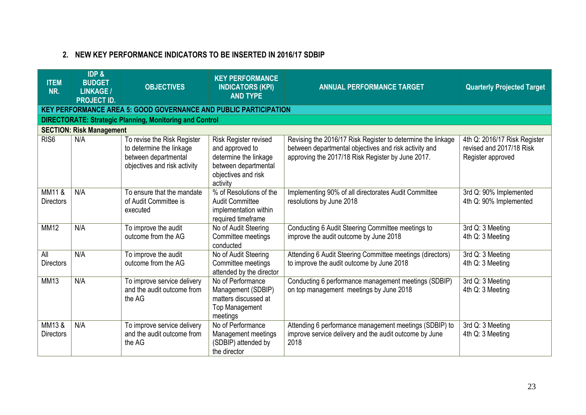# **2. NEW KEY PERFORMANCE INDICATORS TO BE INSERTED IN 2016/17 SDBIP**

| <b>ITEM</b><br>NR.        | <b>IDP &amp;</b><br><b>BUDGET</b><br><b>LINKAGE/</b><br><b>PROJECT ID.</b> | <b>OBJECTIVES</b>                                                                                               | <b>KEY PERFORMANCE</b><br><b>INDICATORS (KPI)</b><br><b>AND TYPE</b>                                                         | <b>ANNUAL PERFORMANCE TARGET</b>                                                                                                                                          | <b>Quarterly Projected Target</b>                                             |  |  |
|---------------------------|----------------------------------------------------------------------------|-----------------------------------------------------------------------------------------------------------------|------------------------------------------------------------------------------------------------------------------------------|---------------------------------------------------------------------------------------------------------------------------------------------------------------------------|-------------------------------------------------------------------------------|--|--|
|                           | <b>KEY PERFORMANCE AREA 5: GOOD GOVERNANCE AND PUBLIC PARTICIPATION</b>    |                                                                                                                 |                                                                                                                              |                                                                                                                                                                           |                                                                               |  |  |
|                           | <b>DIRECTORATE: Strategic Planning, Monitoring and Control</b>             |                                                                                                                 |                                                                                                                              |                                                                                                                                                                           |                                                                               |  |  |
|                           | <b>SECTION: Risk Management</b>                                            |                                                                                                                 |                                                                                                                              |                                                                                                                                                                           |                                                                               |  |  |
| RIS <sub>6</sub>          | N/A                                                                        | To revise the Risk Register<br>to determine the linkage<br>between departmental<br>objectives and risk activity | Risk Register revised<br>and approved to<br>determine the linkage<br>between departmental<br>objectives and risk<br>activity | Revising the 2016/17 Risk Register to determine the linkage<br>between departmental objectives and risk activity and<br>approving the 2017/18 Risk Register by June 2017. | 4th Q: 2016/17 Risk Register<br>revised and 2017/18 Risk<br>Register approved |  |  |
| MM11&<br><b>Directors</b> | N/A                                                                        | To ensure that the mandate<br>of Audit Committee is<br>executed                                                 | % of Resolutions of the<br><b>Audit Committee</b><br>implementation within<br>required timeframe                             | Implementing 90% of all directorates Audit Committee<br>resolutions by June 2018                                                                                          | 3rd Q: 90% Implemented<br>4th Q: 90% Implemented                              |  |  |
| <b>MM12</b>               | N/A                                                                        | To improve the audit<br>outcome from the AG                                                                     | No of Audit Steering<br>Committee meetings<br>conducted                                                                      | Conducting 6 Audit Steering Committee meetings to<br>improve the audit outcome by June 2018                                                                               | 3rd Q: 3 Meeting<br>4th Q: 3 Meeting                                          |  |  |
| All<br><b>Directors</b>   | N/A                                                                        | To improve the audit<br>outcome from the AG                                                                     | No of Audit Steering<br>Committee meetings<br>attended by the director                                                       | Attending 6 Audit Steering Committee meetings (directors)<br>to improve the audit outcome by June 2018                                                                    | 3rd Q: 3 Meeting<br>4th Q: 3 Meeting                                          |  |  |
| <b>MM13</b>               | N/A                                                                        | To improve service delivery<br>and the audit outcome from<br>the AG                                             | No of Performance<br>Management (SDBIP)<br>matters discussed at<br><b>Top Management</b><br>meetings                         | Conducting 6 performance management meetings (SDBIP)<br>on top management meetings by June 2018                                                                           | 3rd Q: 3 Meeting<br>4th Q: 3 Meeting                                          |  |  |
| MM13&<br><b>Directors</b> | N/A                                                                        | To improve service delivery<br>and the audit outcome from<br>the AG                                             | No of Performance<br>Management meetings<br>(SDBIP) attended by<br>the director                                              | Attending 6 performance management meetings (SDBIP) to<br>improve service delivery and the audit outcome by June<br>2018                                                  | 3rd Q: 3 Meeting<br>4th Q: 3 Meeting                                          |  |  |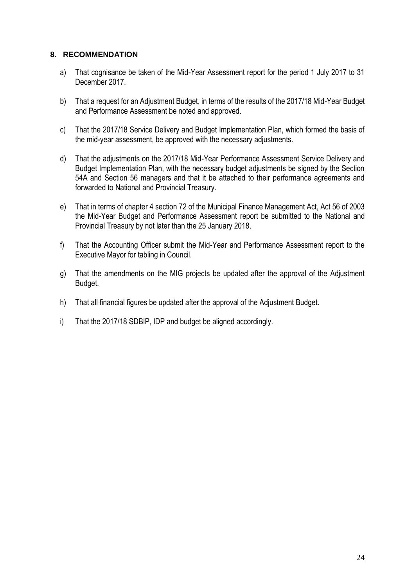## **8. RECOMMENDATION**

- a) That cognisance be taken of the Mid-Year Assessment report for the period 1 July 2017 to 31 December 2017.
- b) That a request for an Adjustment Budget, in terms of the results of the 2017/18 Mid-Year Budget and Performance Assessment be noted and approved.
- c) That the 2017/18 Service Delivery and Budget Implementation Plan, which formed the basis of the mid-year assessment, be approved with the necessary adjustments.
- d) That the adjustments on the 2017/18 Mid-Year Performance Assessment Service Delivery and Budget Implementation Plan, with the necessary budget adjustments be signed by the Section 54A and Section 56 managers and that it be attached to their performance agreements and forwarded to National and Provincial Treasury.
- e) That in terms of chapter 4 section 72 of the Municipal Finance Management Act, Act 56 of 2003 the Mid-Year Budget and Performance Assessment report be submitted to the National and Provincial Treasury by not later than the 25 January 2018.
- f) That the Accounting Officer submit the Mid-Year and Performance Assessment report to the Executive Mayor for tabling in Council.
- g) That the amendments on the MIG projects be updated after the approval of the Adjustment Budget.
- h) That all financial figures be updated after the approval of the Adjustment Budget.
- i) That the 2017/18 SDBIP, IDP and budget be aligned accordingly.